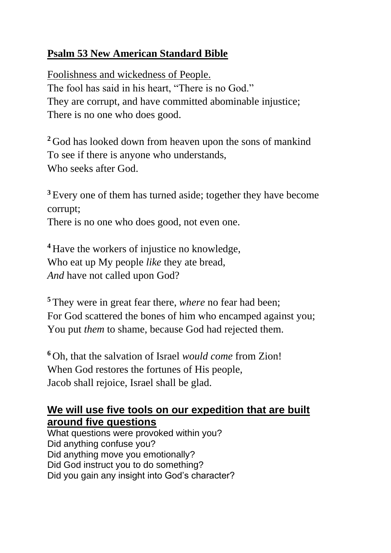## **Psalm 53 New American Standard Bible**

Foolishness and wickedness of People. The fool has said in his heart, "There is no God." They are corrupt, and have committed abominable injustice; There is no one who does good.

**<sup>2</sup>** God has looked down from heaven upon the sons of mankind To see if there is anyone who understands, Who seeks after God.

**<sup>3</sup>** Every one of them has turned aside; together they have become corrupt;

There is no one who does good, not even one.

**<sup>4</sup>** Have the workers of injustice no knowledge, Who eat up My people *like* they ate bread, *And* have not called upon God?

**<sup>5</sup>** They were in great fear there, *where* no fear had been; For God scattered the bones of him who encamped against you; You put *them* to shame, because God had rejected them.

**<sup>6</sup>** Oh, that the salvation of Israel *would come* from Zion! When God restores the fortunes of His people, Jacob shall rejoice, Israel shall be glad.

## **We will use five tools on our expedition that are built around five questions**

What questions were provoked within you? Did anything confuse you? Did anything move you emotionally? Did God instruct you to do something? Did you gain any insight into God's character?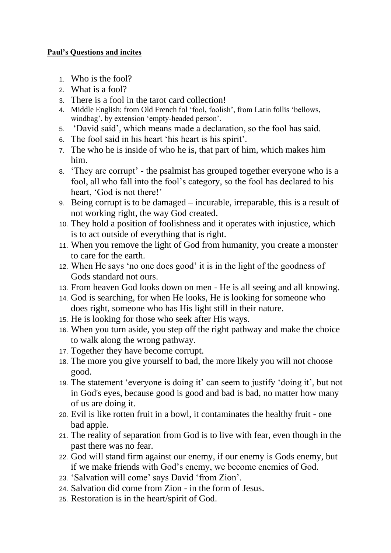## **Paul's Questions and incites**

- 1. Who is the fool?
- 2. What is a fool?
- 3. There is a fool in the tarot card collection!
- 4. Middle English: from Old French fol 'fool, foolish', from Latin follis 'bellows, windbag', by extension 'empty-headed person'.
- 5. 'David said', which means made a declaration, so the fool has said.
- 6. The fool said in his heart 'his heart is his spirit'.
- 7. The who he is inside of who he is, that part of him, which makes him him.
- 8. 'They are corrupt' the psalmist has grouped together everyone who is a fool, all who fall into the fool's category, so the fool has declared to his heart, 'God is not there!'
- 9. Being corrupt is to be damaged incurable, irreparable, this is a result of not working right, the way God created.
- 10. They hold a position of foolishness and it operates with injustice, which is to act outside of everything that is right.
- 11. When you remove the light of God from humanity, you create a monster to care for the earth.
- 12. When He says 'no one does good' it is in the light of the goodness of Gods standard not ours.
- 13. From heaven God looks down on men He is all seeing and all knowing.
- 14. God is searching, for when He looks, He is looking for someone who does right, someone who has His light still in their nature.
- 15. He is looking for those who seek after His ways.
- 16. When you turn aside, you step off the right pathway and make the choice to walk along the wrong pathway.
- 17. Together they have become corrupt.
- 18. The more you give yourself to bad, the more likely you will not choose good.
- 19. The statement 'everyone is doing it' can seem to justify 'doing it', but not in God's eyes, because good is good and bad is bad, no matter how many of us are doing it.
- 20. Evil is like rotten fruit in a bowl, it contaminates the healthy fruit one bad apple.
- 21. The reality of separation from God is to live with fear, even though in the past there was no fear.
- 22. God will stand firm against our enemy, if our enemy is Gods enemy, but if we make friends with God's enemy, we become enemies of God.
- 23. 'Salvation will come' says David 'from Zion'.
- 24. Salvation did come from Zion in the form of Jesus.
- 25. Restoration is in the heart/spirit of God.